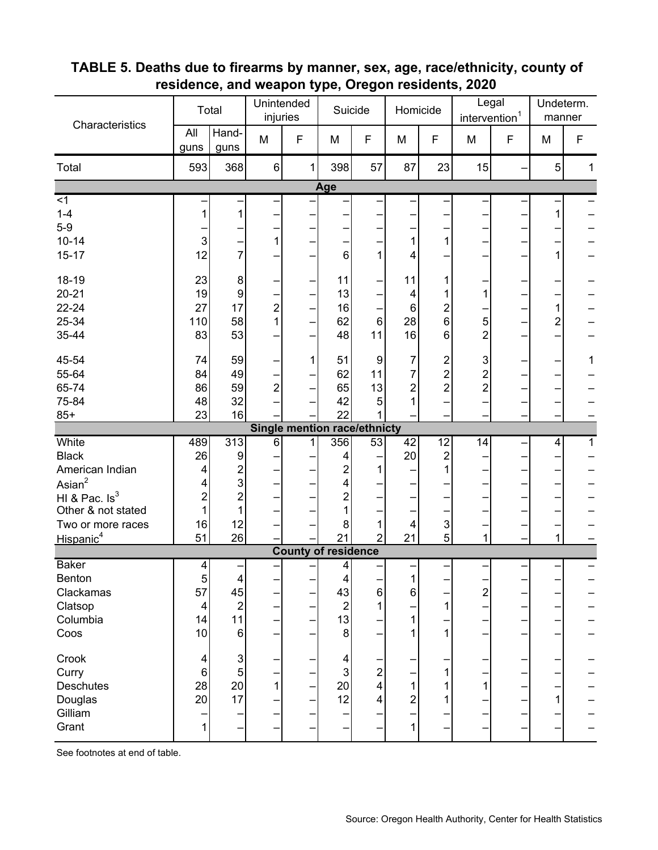| Characteristics                            | Total               |                           | Unintended<br>injuries |                                     | Suicide             |                          | Homicide        |                         | Legal<br>intervention <sup>1</sup> |   | Undeterm.<br>manner |              |
|--------------------------------------------|---------------------|---------------------------|------------------------|-------------------------------------|---------------------|--------------------------|-----------------|-------------------------|------------------------------------|---|---------------------|--------------|
|                                            | All<br>guns         | Hand-<br>guns             | M                      | F                                   | M                   | F                        | M               | F                       | M                                  | F | M                   | F            |
| Total                                      | 593                 | 368                       | $\,6\,$                | 1                                   | 398                 | 57                       | 87              | 23                      | 15                                 |   | 5                   | $\mathbf{1}$ |
|                                            |                     |                           |                        |                                     | Age                 |                          |                 |                         |                                    |   |                     |              |
| $\overline{\leq}$                          |                     |                           |                        |                                     |                     |                          |                 |                         |                                    |   |                     |              |
| $1 - 4$                                    | 1                   | 1                         |                        |                                     |                     |                          |                 |                         |                                    |   | 1                   |              |
| $5-9$<br>$10 - 14$                         | $\mathsf 3$         |                           | 1                      |                                     |                     |                          |                 |                         |                                    |   |                     |              |
| $15 - 17$                                  | 12                  | 7                         |                        |                                     | 6                   | 1                        | 4               |                         |                                    |   |                     |              |
|                                            |                     |                           |                        |                                     |                     |                          |                 |                         |                                    |   |                     |              |
| 18-19                                      | 23                  | 8                         |                        |                                     | 11                  |                          | 11              |                         |                                    |   |                     |              |
| $20 - 21$                                  | 19                  | 9                         |                        |                                     | 13                  |                          | 4               |                         | 1                                  |   |                     |              |
| 22-24                                      | 27                  | 17                        | $\overline{c}$         |                                     | 16                  |                          | 6               | $\overline{c}$          |                                    |   | 1                   |              |
| 25-34                                      | 110                 | 58                        | 1                      |                                     | 62                  | 6                        | 28              | 6                       | 5                                  |   | $\overline{2}$      |              |
| 35-44                                      | 83                  | 53                        |                        |                                     | 48                  | 11                       | 16              | 6                       | $\overline{2}$                     |   |                     |              |
| 45-54                                      | 74                  | 59                        |                        | 1                                   | 51                  | $\boldsymbol{9}$         | 7               | $\overline{\mathbf{c}}$ | $\mathsf 3$                        |   |                     | 1            |
| 55-64                                      | 84                  | 49                        |                        |                                     | 62                  | 11                       | 7               | $\overline{c}$          | $\overline{c}$                     |   |                     |              |
| 65-74                                      | 86                  | 59                        | $\overline{c}$         |                                     | 65                  | 13                       | $\overline{2}$  | $\overline{c}$          | $\overline{2}$                     |   |                     |              |
| 75-84                                      | 48                  | 32                        |                        |                                     | 42                  | 5                        |                 |                         |                                    |   |                     |              |
| $85+$                                      | 23                  | 16                        |                        |                                     | 22                  |                          |                 |                         |                                    |   |                     |              |
|                                            |                     |                           |                        |                                     |                     |                          |                 |                         |                                    |   |                     |              |
|                                            |                     |                           |                        | <b>Single mention race/ethnicty</b> |                     |                          |                 |                         |                                    |   |                     |              |
| White                                      | 489                 | 313                       | 6                      | 1                                   | 356                 | 53                       | $\overline{42}$ | $\overline{12}$         | 14                                 |   | 4                   | 1            |
| <b>Black</b>                               | 26                  | 9                         |                        |                                     | 4                   |                          | 20              | $\overline{c}$          |                                    |   |                     |              |
| American Indian                            | 4                   | $\overline{c}$            |                        |                                     | 2                   | 1                        |                 |                         |                                    |   |                     |              |
| $\text{Asian}^2$                           | 4                   | 3                         |                        |                                     | 4                   |                          |                 |                         |                                    |   |                     |              |
| HI & Pac. $Is^3$                           | $\overline{2}$<br>1 | $\overline{2}$<br>1       |                        |                                     | $\overline{c}$<br>1 |                          |                 |                         |                                    |   |                     |              |
| Other & not stated                         | 16                  | 12                        |                        |                                     | 8                   | 1                        | 4               |                         |                                    |   |                     |              |
| Two or more races<br>Hispanic <sup>4</sup> | 51                  | 26                        |                        |                                     | 21                  | $\overline{2}$           | 21              | 3<br>5                  | 1                                  |   | 1                   |              |
|                                            |                     |                           |                        | <b>County of residence</b>          |                     |                          |                 |                         |                                    |   |                     |              |
| <b>Baker</b>                               | $\overline{4}$      |                           |                        |                                     | $\overline{4}$      |                          |                 |                         |                                    |   |                     |              |
| Benton                                     | 5                   | 4                         |                        |                                     | $\vert 4 \vert$     |                          | 1               |                         |                                    |   |                     |              |
| Clackamas                                  | 57                  | 45                        | —                      |                                     | 43                  | 6                        | 6               |                         | $\overline{2}$                     |   |                     |              |
| Clatsop                                    | $\overline{4}$      | $\overline{2}$            | —                      |                                     | $\boldsymbol{2}$    | 1                        |                 | 1                       |                                    |   |                     |              |
| Columbia                                   | 14                  | 11                        | —                      |                                     | 13                  | $\overline{\phantom{0}}$ | 1               |                         |                                    | - |                     |              |
| Coos                                       | 10                  | $6\phantom{1}$            | —                      |                                     | 8                   |                          |                 | 1                       |                                    | — |                     |              |
| Crook                                      | 4                   | $\ensuremath{\mathsf{3}}$ | —                      |                                     | $\overline{4}$      |                          |                 |                         |                                    | — |                     |              |
| Curry                                      | 6                   | 5                         | —                      |                                     | 3                   | $\overline{2}$           |                 |                         |                                    | - |                     |              |
| <b>Deschutes</b>                           | 28                  | 20                        | $\overline{1}$         |                                     | 20                  | 4                        | 1               |                         | $\mathbf{1}$                       |   |                     |              |
| Douglas                                    | 20                  | 17                        |                        |                                     | 12                  | 4                        | $\overline{2}$  |                         |                                    |   | 1                   |              |
| Gilliam<br>Grant                           | 1                   |                           | —<br>-                 |                                     | —                   |                          | 1               |                         |                                    | - |                     |              |

## **TABLE 5. Deaths due to firearms by manner, sex, age, race/ethnicity, county of residence, and weapon type, Oregon residents, 2020**

See footnotes at end of table.